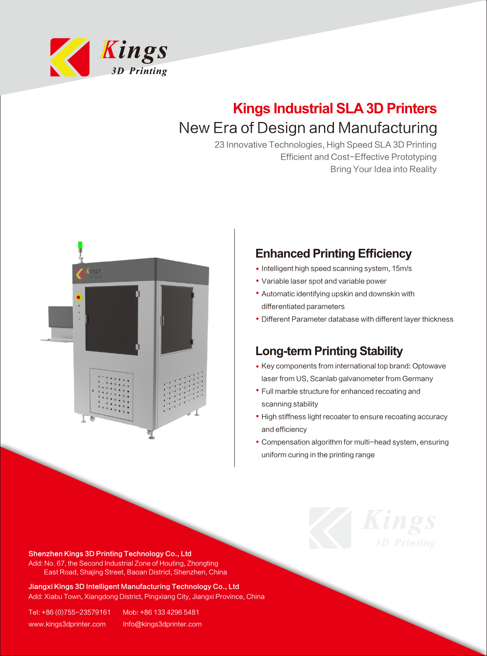

## **Kings Industrial SLA 3D Printers** New Era of Design and Manufacturing

23 Innovative Technologies, High Speed SLA 3D Printing Efficient and Cost-Effective Prototyping Bring Your Idea into Reality



## **Enhanced Printing Efficiency**

- Intelligent high speed scanning system, 15m/s
- Variable laser spot and variable power
- Automatic identifying upskin and downskin with differentiated parameters
- Different Parameter database with different layer thickness

## **Long-term Printing Stability**

- Key components from international top brand: Optowave laser from US, Scanlab galvanometer from Germany
- Full marble structure for enhanced recoating and scanning stability
- High stiffness light recoater to ensure recoating accuracy and efficiency
- Compensation algorithm for multi-head system, ensuring uniform curing in the printing range

Shenzhen Kings 3D Printing Technology Co., Ltd Add: No. 67, the Second Industrial Zone of Houting, Zhongting East Road, Shajing Street, Baoan District, Shenzhen, China

Jiangxi Kings 3D Intelligent Manufacturing Technology Co., Ltd Add: Xiabu Town, Xiangdong District, Pingxiang City, Jiangxi Province, China

Tel: +86 (0)755-23579161 Mob: +86 133 4296 5481 www.kings3dprinter.com Info@kings3dprinter.com